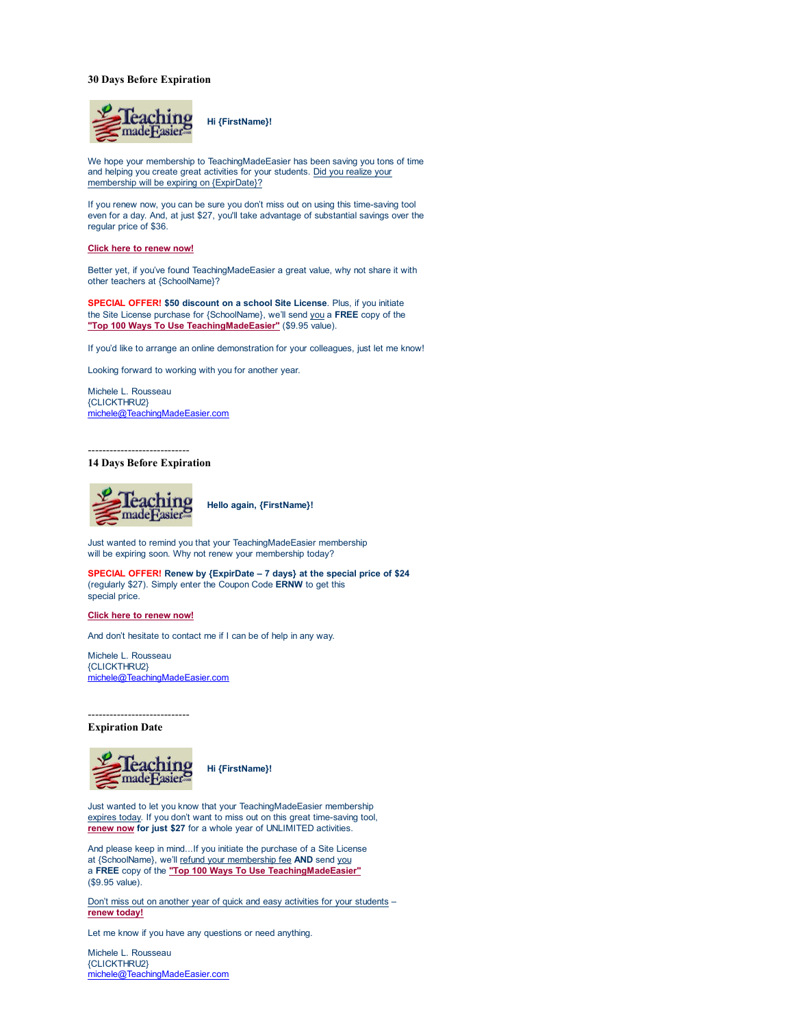## **30 Days Before Expiration**



We hope your membership to TeachingMadeEasier has been saving you tons of time and helping you create great activities for your students. Did you realize your membership will be expiring on {ExpirDate}?

If you renew now, you can be sure you don't miss out on using this time-saving tool even for a day. And, at just \$27, you'll take advantage of substantial savings over the regular price of \$36.

### **Click here to renew now!**

Better yet, if you've found TeachingMadeEasier a great value, why not share it with other teachers at {SchoolName}?

**SPECIAL OFFER! \$50 discount on a school Site License**. Plus, if you initiate the Site License purchase for {SchoolName}, we'll send you a **FREE** copy of the **"Top 100 Ways To Use TeachingMadeEasier"** (\$9.95 value).

If you'd like to arrange an online demonstration for your colleagues, just let me know!

Looking forward to working with you for another year.

Michele L. Rousseau {CLICKTHRU2} michele@TeachingMadeEasier.com

## ---------------------------- **14 Days Before Expiration**



 **Hello again, {FirstName}!**

Just wanted to remind you that your TeachingMadeEasier membership will be expiring soon. Why not renew your membership today?

**SPECIAL OFFER! Renew by {ExpirDate – 7 days} at the special price of \$24** (regularly \$27). Simply enter the Coupon Code **ERNW** to get this special price.

### **Click here to renew now!**

And don't hesitate to contact me if I can be of help in any way.

Michele L. Rousseau {CLICKTHRU2} michele@TeachingMadeEasier.com

----------------------------

# **Expiration Date**



 **Hi {FirstName}!**

Just wanted to let you know that your TeachingMadeEasier membership expires today. If you don't want to miss out on this great time-saving tool, **renew now for just \$27** for a whole year of UNLIMITED activities.

And please keep in mind...If you initiate the purchase of a Site License at {SchoolName}, we'll refund your membership fee **AND** send you a **FREE** copy of the **"Top 100 Ways To Use TeachingMadeEasier"** (\$9.95 value).

Don't miss out on another year of quick and easy activities for your students – **renew today!**

Let me know if you have any questions or need anything.

Michele L. Rousseau {CLICKTHRU2} michele@TeachingMadeEasier.com